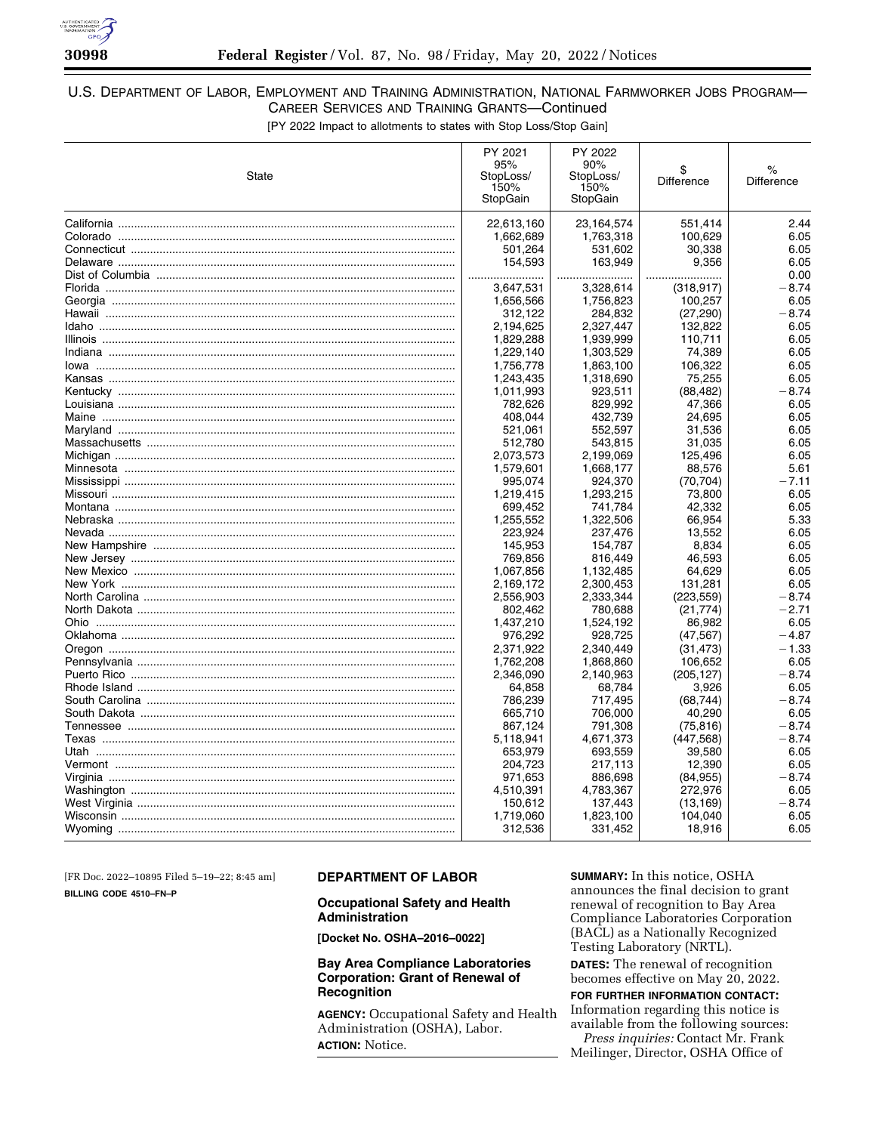

# U.S. DEPARTMENT OF LABOR, EMPLOYMENT AND TRAINING ADMINISTRATION, NATIONAL FARMWORKER JOBS PROGRAM— CAREER SERVICES AND TRAINING GRANTS—Continued

[PY 2022 Impact to allotments to states with Stop Loss/Stop Gain]

| State                                       | PY 2021<br>95%<br>StopLoss/<br>150%<br>StopGain | PY 2022<br>90%<br>StopLoss/<br>150%<br>StopGain | <b>Difference</b> | $\%$<br><b>Difference</b> |
|---------------------------------------------|-------------------------------------------------|-------------------------------------------------|-------------------|---------------------------|
|                                             | 22,613,160                                      | 23,164,574                                      | 551,414           | 2.44                      |
|                                             | 1,662,689                                       | 1,763,318                                       | 100,629           | 6.05                      |
|                                             | 501,264                                         | 531,602                                         | 30,338            | 6.05                      |
|                                             | 154,593                                         | 163,949                                         | 9,356             | 6.05                      |
|                                             |                                                 |                                                 |                   | 0.00                      |
|                                             | 3.647.531                                       | 3.328.614                                       | (318, 917)        | $-8.74$                   |
|                                             | 1,656,566                                       | 1,756,823                                       | 100,257           | 6.05                      |
|                                             | 312,122                                         | 284,832                                         | (27, 290)         | $-8.74$                   |
|                                             | 2,194,625                                       | 2,327,447                                       | 132,822           | 6.05                      |
|                                             | 1,829,288                                       | 1,939,999                                       | 110,711           | 6.05                      |
|                                             | 1,229,140                                       | 1,303,529                                       | 74,389            | 6.05                      |
|                                             | 1.756.778                                       | 1,863,100                                       | 106.322           | 6.05                      |
|                                             |                                                 |                                                 | 75,255            | 6.05                      |
|                                             | 1,243,435                                       | 1,318,690                                       |                   |                           |
| Kentucky ………………………………………………………………………………………… | 1,011,993                                       | 923,511                                         | (88, 482)         | $-8.74$                   |
|                                             | 782,626                                         | 829,992                                         | 47,366            | 6.05                      |
|                                             | 408,044                                         | 432,739                                         | 24,695            | 6.05                      |
|                                             | 521,061                                         | 552,597                                         | 31,536            | 6.05                      |
|                                             | 512,780                                         | 543,815                                         | 31,035            | 6.05                      |
|                                             | 2,073,573                                       | 2,199,069                                       | 125.496           | 6.05                      |
|                                             | 1,579,601                                       | 1,668,177                                       | 88,576            | 5.61                      |
|                                             | 995,074                                         | 924,370                                         | (70, 704)         | $-7.11$                   |
|                                             | 1,219,415                                       | 1,293,215                                       | 73,800            | 6.05                      |
|                                             | 699,452                                         | 741,784                                         | 42,332            | 6.05                      |
|                                             | 1,255,552                                       | 1,322,506                                       | 66,954            | 5.33                      |
|                                             | 223,924                                         | 237,476                                         | 13,552            | 6.05                      |
|                                             | 145,953                                         | 154,787                                         | 8,834             | 6.05                      |
|                                             | 769,856                                         | 816,449                                         | 46,593            | 6.05                      |
|                                             | 1,067,856                                       | 1,132,485                                       | 64,629            | 6.05                      |
|                                             | 2,169,172                                       | 2,300,453                                       | 131,281           | 6.05                      |
|                                             | 2,556,903                                       | 2,333,344                                       | (223, 559)        | $-8.74$                   |
|                                             | 802,462                                         | 780,688                                         | (21, 774)         | $-2.71$                   |
|                                             | 1,437,210                                       | 1,524,192                                       | 86,982            | 6.05                      |
|                                             | 976,292                                         | 928,725                                         | (47, 567)         | $-4.87$                   |
|                                             | 2,371,922                                       | 2,340,449                                       | (31, 473)         | $-1.33$                   |
|                                             | 1,762,208                                       | 1,868,860                                       | 106,652           | 6.05                      |
|                                             | 2,346,090                                       | 2,140,963                                       | (205, 127)        | $-8.74$                   |
|                                             | 64,858                                          | 68,784                                          | 3,926             | 6.05                      |
|                                             | 786,239                                         | 717,495                                         | (68, 744)         | $-8.74$                   |
|                                             | 665,710                                         | 706,000                                         | 40,290            | 6.05                      |
|                                             | 867,124                                         | 791,308                                         | (75, 816)         | $-8.74$                   |
|                                             | 5.118.941                                       | 4,671,373                                       | (447, 568)        | $-8.74$                   |
|                                             | 653,979                                         | 693,559                                         | 39,580            | 6.05                      |
|                                             | 204,723                                         | 217,113                                         | 12,390            | 6.05                      |
|                                             | 971,653                                         | 886,698                                         | (84, 955)         | $-8.74$                   |
|                                             | 4,510,391                                       | 4,783,367                                       | 272,976           | 6.05                      |
|                                             | 150,612                                         | 137,443                                         | (13, 169)         | $-8.74$                   |
|                                             | 1.719.060                                       | 1,823,100                                       | 104.040           | 6.05                      |
|                                             | 312,536                                         | 331,452                                         | 18,916            | 6.05                      |

[FR Doc. 2022–10895 Filed 5–19–22; 8:45 am] **BILLING CODE 4510–FN–P** 

# **DEPARTMENT OF LABOR**

# **Occupational Safety and Health Administration**

**[Docket No. OSHA–2016–0022]** 

# **Bay Area Compliance Laboratories Corporation: Grant of Renewal of Recognition**

**AGENCY:** Occupational Safety and Health Administration (OSHA), Labor. **ACTION:** Notice.

**SUMMARY:** In this notice, OSHA announces the final decision to grant renewal of recognition to Bay Area Compliance Laboratories Corporation (BACL) as a Nationally Recognized Testing Laboratory (NRTL). **DATES:** The renewal of recognition

becomes effective on May 20, 2022.

**FOR FURTHER INFORMATION CONTACT:**  Information regarding this notice is available from the following sources: *Press inquiries:* Contact Mr. Frank

Meilinger, Director, OSHA Office of